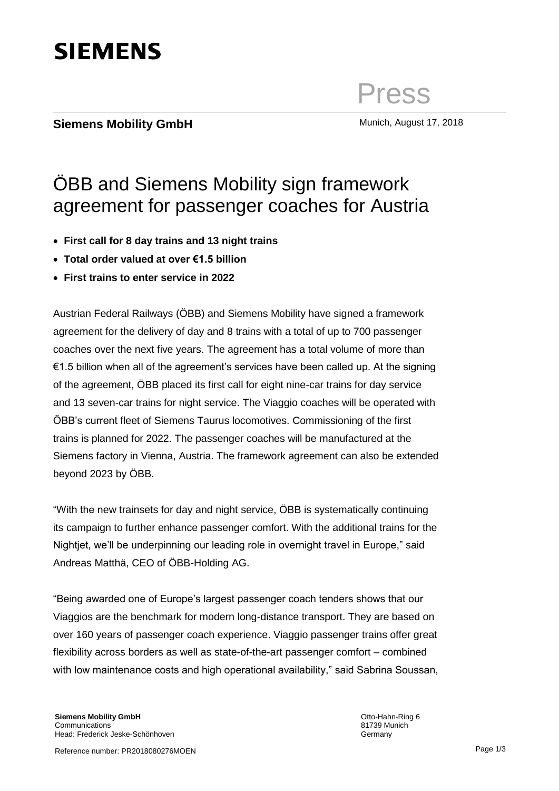

beyond 2023 by ÖBB.

"With the new trainsets for day and night service, ÖBB is systematically continuing its campaign to further enhance passenger comfort. With the additional trains for the Nightjet, we'll be underpinning our leading role in overnight travel in Europe," said Andreas Matthä, CEO of ÖBB-Holding AG.

"Being awarded one of Europe's largest passenger coach tenders shows that our Viaggios are the benchmark for modern long-distance transport. They are based on over 160 years of passenger coach experience. Viaggio passenger trains offer great flexibility across borders as well as state-of-the-art passenger comfort – combined with low maintenance costs and high operational availability," said Sabrina Soussan,

Reference number: PR2018080276MOEN

## ÖBB and Siemens Mobility sign framework agreement for passenger coaches for Austria

- **First call for 8 day trains and 13 night trains**
- **Total order valued at over €1.5 billion**
- **First trains to enter service in 2022**

Austrian Federal Railways (ÖBB) and Siemens Mobility have signed a framework agreement for the delivery of day and 8 trains with a total of up to 700 passenger coaches over the next five years. The agreement has a total volume of more than €1.5 billion when all of the agreement's services have been called up. At the signing of the agreement, ÖBB placed its first call for eight nine-car trains for day service and 13 seven-car trains for night service. The Viaggio coaches will be operated with ÖBB's current fleet of Siemens Taurus locomotives. Commissioning of the first trains is planned for 2022. The passenger coaches will be manufactured at the Siemens factory in Vienna, Austria. The framework agreement can also be extended

## **Siemens Mobility GmbH** Munich, August 17, 2018

**SIEMENS** 

Press

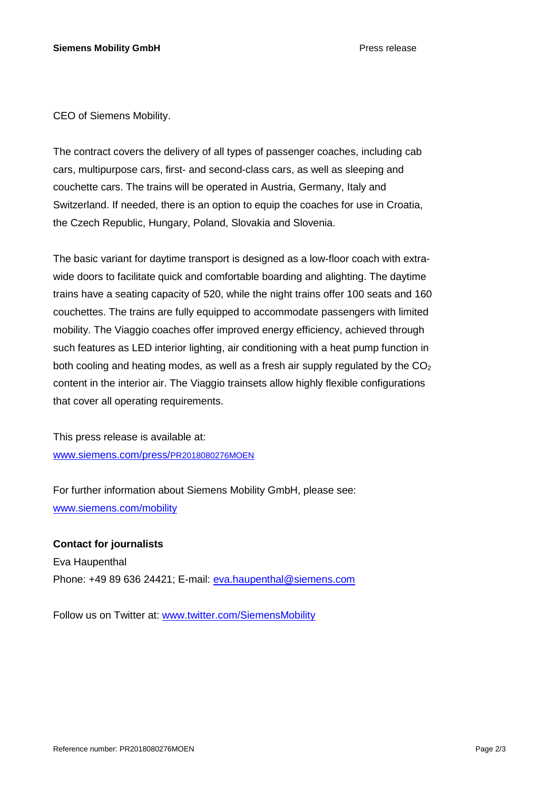CEO of Siemens Mobility.

The contract covers the delivery of all types of passenger coaches, including cab cars, multipurpose cars, first- and second-class cars, as well as sleeping and couchette cars. The trains will be operated in Austria, Germany, Italy and Switzerland. If needed, there is an option to equip the coaches for use in Croatia, the Czech Republic, Hungary, Poland, Slovakia and Slovenia.

The basic variant for daytime transport is designed as a low-floor coach with extrawide doors to facilitate quick and comfortable boarding and alighting. The daytime trains have a seating capacity of 520, while the night trains offer 100 seats and 160 couchettes. The trains are fully equipped to accommodate passengers with limited mobility. The Viaggio coaches offer improved energy efficiency, achieved through such features as LED interior lighting, air conditioning with a heat pump function in both cooling and heating modes, as well as a fresh air supply regulated by the  $CO<sub>2</sub>$ content in the interior air. The Viaggio trainsets allow highly flexible configurations that cover all operating requirements.

This press release is available at: [www.siemens.com/press/](http://www.siemens.com/press/PR2018080276MOEN)PR2018080276MOEN

For further information about Siemens Mobility GmbH, please see: [www.siemens.com/mobility](http://www.siemens.com/mobility)

**Contact for journalists** Eva Haupenthal Phone: +49 89 636 24421; E-mail: [eva.haupenthal@siemens.com](mailto:eva.haupenthal@siemens.com)

Follow us on Twitter at: [www.twitter.com/SiemensMobility](http://www.twitter.com/SiemensMobility)